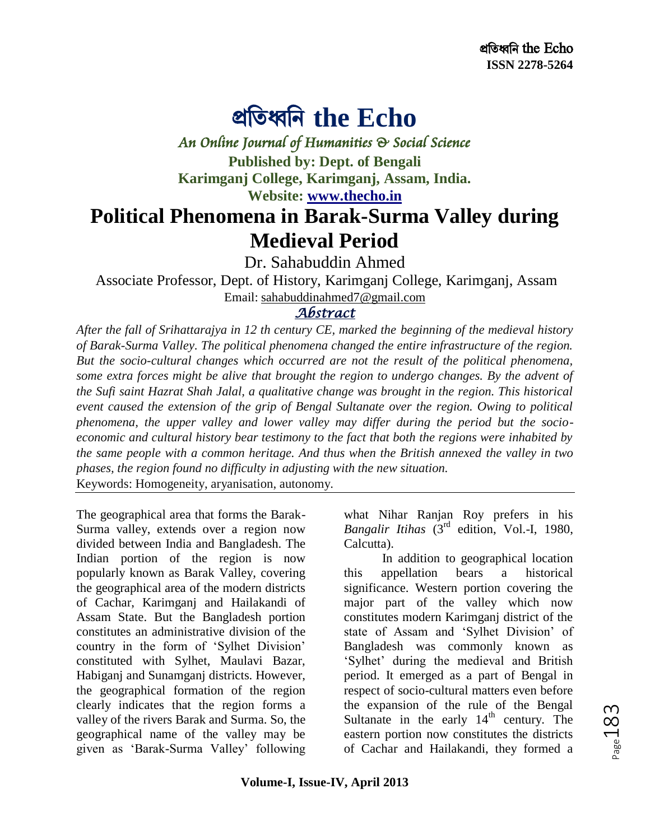## প্রতিধ্বতি **the Echo**

*An Online Journal of Humanities & Social Science* 

**Published by: Dept. of Bengali Karimganj College, Karimganj, Assam, India. Website: [www.thecho.in](http://www.thecho.in/)**

## **Political Phenomena in Barak-Surma Valley during Medieval Period**

Dr. Sahabuddin Ahmed

Associate Professor, Dept. of History, Karimganj College, Karimganj, Assam Email: sahabuddinahmed7@gmail.com

## *Abstract*

*After the fall of Srihattarajya in 12 th century CE, marked the beginning of the medieval history of Barak-Surma Valley. The political phenomena changed the entire infrastructure of the region. But the socio-cultural changes which occurred are not the result of the political phenomena, some extra forces might be alive that brought the region to undergo changes. By the advent of the Sufi saint Hazrat Shah Jalal, a qualitative change was brought in the region. This historical event caused the extension of the grip of Bengal Sultanate over the region. Owing to political phenomena, the upper valley and lower valley may differ during the period but the socioeconomic and cultural history bear testimony to the fact that both the regions were inhabited by the same people with a common heritage. And thus when the British annexed the valley in two phases, the region found no difficulty in adjusting with the new situation.*

Keywords: Homogeneity, aryanisation, autonomy.

The geographical area that forms the Barak-Surma valley, extends over a region now divided between India and Bangladesh. The Indian portion of the region is now popularly known as Barak Valley, covering the geographical area of the modern districts of Cachar, Karimganj and Hailakandi of Assam State. But the Bangladesh portion constitutes an administrative division of the country in the form of 'Sylhet Division' constituted with Sylhet, Maulavi Bazar, Habiganj and Sunamganj districts. However, the geographical formation of the region clearly indicates that the region forms a valley of the rivers Barak and Surma. So, the geographical name of the valley may be given as 'Barak-Surma Valley' following what Nihar Ranjan Roy prefers in his *Bangalir Itihas* (3rd edition, Vol.-I, 1980, Calcutta).

In addition to geographical location this appellation bears a historical significance. Western portion covering the major part of the valley which now constitutes modern Karimganj district of the state of Assam and 'Sylhet Division' of Bangladesh was commonly known as ‗Sylhet' during the medieval and British period. It emerged as a part of Bengal in respect of socio-cultural matters even before the expansion of the rule of the Bengal Sultanate in the early  $14<sup>th</sup>$  century. The eastern portion now constitutes the districts of Cachar and Hailakandi, they formed a

Page 183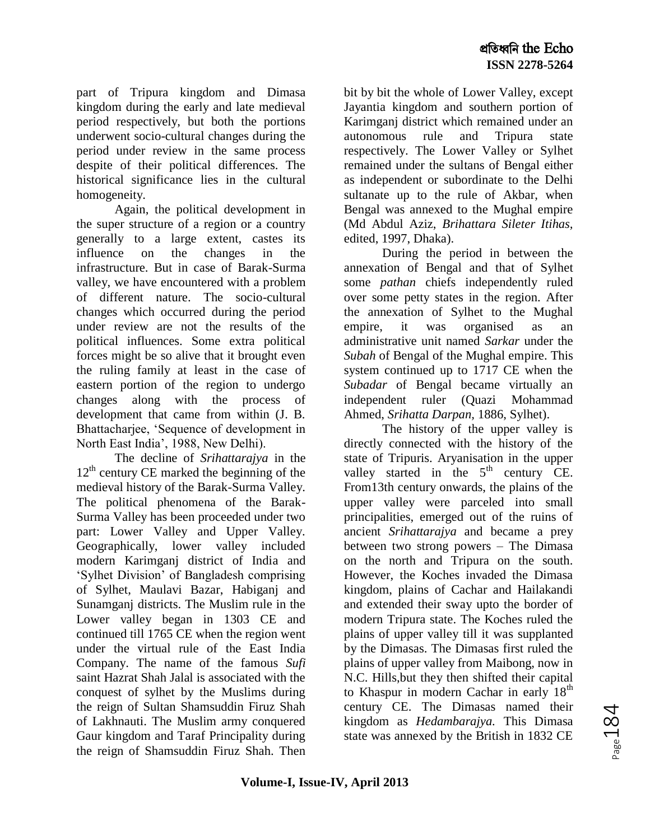part of Tripura kingdom and Dimasa kingdom during the early and late medieval period respectively, but both the portions underwent socio-cultural changes during the period under review in the same process despite of their political differences. The historical significance lies in the cultural homogeneity.

Again, the political development in the super structure of a region or a country generally to a large extent, castes its influence on the changes in the infrastructure. But in case of Barak-Surma valley, we have encountered with a problem of different nature. The socio-cultural changes which occurred during the period under review are not the results of the political influences. Some extra political forces might be so alive that it brought even the ruling family at least in the case of eastern portion of the region to undergo changes along with the process of development that came from within (J. B. Bhattacharjee, 'Sequence of development in North East India', 1988, New Delhi).

The decline of *Srihattarajya* in the  $12<sup>th</sup>$  century CE marked the beginning of the medieval history of the Barak-Surma Valley. The political phenomena of the Barak-Surma Valley has been proceeded under two part: Lower Valley and Upper Valley. Geographically, lower valley included modern Karimganj district of India and ‗Sylhet Division' of Bangladesh comprising of Sylhet, Maulavi Bazar, Habiganj and Sunamganj districts. The Muslim rule in the Lower valley began in 1303 CE and continued till 1765 CE when the region went under the virtual rule of the East India Company. The name of the famous *Sufi* saint Hazrat Shah Jalal is associated with the conquest of sylhet by the Muslims during the reign of Sultan Shamsuddin Firuz Shah of Lakhnauti. The Muslim army conquered Gaur kingdom and Taraf Principality during the reign of Shamsuddin Firuz Shah. Then

bit by bit the whole of Lower Valley, except Jayantia kingdom and southern portion of Karimganj district which remained under an autonomous rule and Tripura state respectively. The Lower Valley or Sylhet remained under the sultans of Bengal either as independent or subordinate to the Delhi sultanate up to the rule of Akbar, when Bengal was annexed to the Mughal empire (Md Abdul Aziz, *Brihattara Sileter Itihas,* edited, 1997, Dhaka).

During the period in between the annexation of Bengal and that of Sylhet some *pathan* chiefs independently ruled over some petty states in the region. After the annexation of Sylhet to the Mughal empire, it was organised as an administrative unit named *Sarkar* under the *Subah* of Bengal of the Mughal empire. This system continued up to 1717 CE when the *Subadar* of Bengal became virtually an independent ruler (Quazi Mohammad Ahmed, *Srihatta Darpan,* 1886, Sylhet).

The history of the upper valley is directly connected with the history of the state of Tripuris. Aryanisation in the upper valley started in the  $5<sup>th</sup>$  century CE. From13th century onwards, the plains of the upper valley were parceled into small principalities, emerged out of the ruins of ancient *Srihattarajya* and became a prey between two strong powers – The Dimasa on the north and Tripura on the south. However, the Koches invaded the Dimasa kingdom, plains of Cachar and Hailakandi and extended their sway upto the border of modern Tripura state. The Koches ruled the plains of upper valley till it was supplanted by the Dimasas. The Dimasas first ruled the plains of upper valley from Maibong, now in N.C. Hills,but they then shifted their capital to Khaspur in modern Cachar in early  $18<sup>th</sup>$ century CE. The Dimasas named their kingdom as *Hedambarajya.* This Dimasa state was annexed by the British in 1832 CE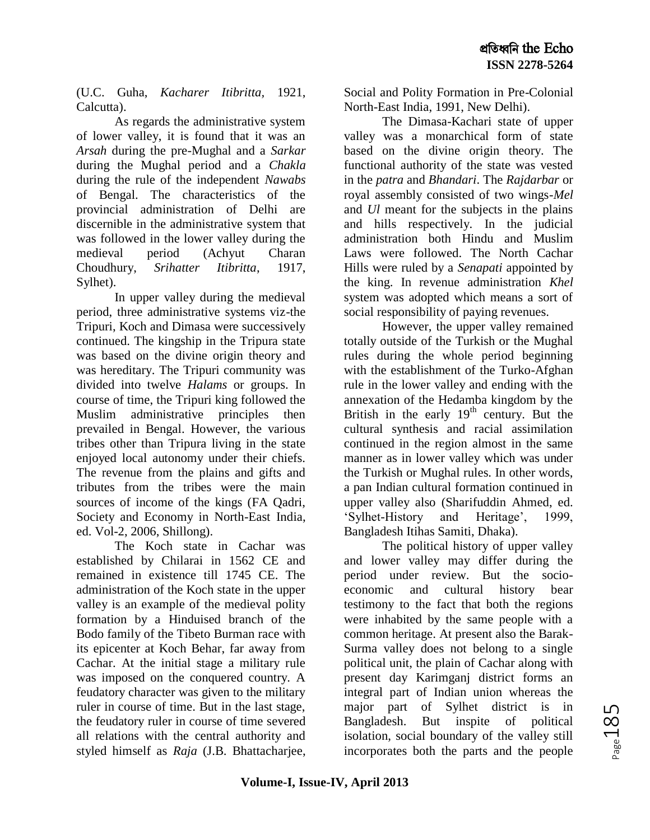(U.C. Guha, *Kacharer Itibritta,* 1921, Calcutta).

As regards the administrative system of lower valley, it is found that it was an *Arsah* during the pre-Mughal and a *Sarkar*  during the Mughal period and a *Chakla* during the rule of the independent *Nawabs* of Bengal. The characteristics of the provincial administration of Delhi are discernible in the administrative system that was followed in the lower valley during the medieval period (Achyut Charan Choudhury, *Srihatter Itibritta*, 1917, Sylhet).

In upper valley during the medieval period, three administrative systems viz-the Tripuri, Koch and Dimasa were successively continued. The kingship in the Tripura state was based on the divine origin theory and was hereditary. The Tripuri community was divided into twelve *Halams* or groups. In course of time, the Tripuri king followed the Muslim administrative principles then prevailed in Bengal. However, the various tribes other than Tripura living in the state enjoyed local autonomy under their chiefs. The revenue from the plains and gifts and tributes from the tribes were the main sources of income of the kings (FA Qadri, Society and Economy in North-East India, ed. Vol-2, 2006, Shillong).

The Koch state in Cachar was established by Chilarai in 1562 CE and remained in existence till 1745 CE. The administration of the Koch state in the upper valley is an example of the medieval polity formation by a Hinduised branch of the Bodo family of the Tibeto Burman race with its epicenter at Koch Behar, far away from Cachar. At the initial stage a military rule was imposed on the conquered country. A feudatory character was given to the military ruler in course of time. But in the last stage, the feudatory ruler in course of time severed all relations with the central authority and styled himself as *Raja* (J.B. Bhattacharjee, Social and Polity Formation in Pre-Colonial North-East India, 1991, New Delhi).

The Dimasa-Kachari state of upper valley was a monarchical form of state based on the divine origin theory. The functional authority of the state was vested in the *patra* and *Bhandari*. The *Rajdarbar* or royal assembly consisted of two wings-*Mel* and *Ul* meant for the subjects in the plains and hills respectively. In the judicial administration both Hindu and Muslim Laws were followed. The North Cachar Hills were ruled by a *Senapati* appointed by the king. In revenue administration *Khel* system was adopted which means a sort of social responsibility of paying revenues.

However, the upper valley remained totally outside of the Turkish or the Mughal rules during the whole period beginning with the establishment of the Turko-Afghan rule in the lower valley and ending with the annexation of the Hedamba kingdom by the British in the early  $19<sup>th</sup>$  century. But the cultural synthesis and racial assimilation continued in the region almost in the same manner as in lower valley which was under the Turkish or Mughal rules. In other words, a pan Indian cultural formation continued in upper valley also (Sharifuddin Ahmed, ed. ‗Sylhet-History and Heritage', 1999, Bangladesh Itihas Samiti, Dhaka).

The political history of upper valley and lower valley may differ during the period under review. But the socioeconomic and cultural history bear testimony to the fact that both the regions were inhabited by the same people with a common heritage. At present also the Barak-Surma valley does not belong to a single political unit, the plain of Cachar along with present day Karimganj district forms an integral part of Indian union whereas the major part of Sylhet district is in Bangladesh. But inspite of political isolation, social boundary of the valley still incorporates both the parts and the people